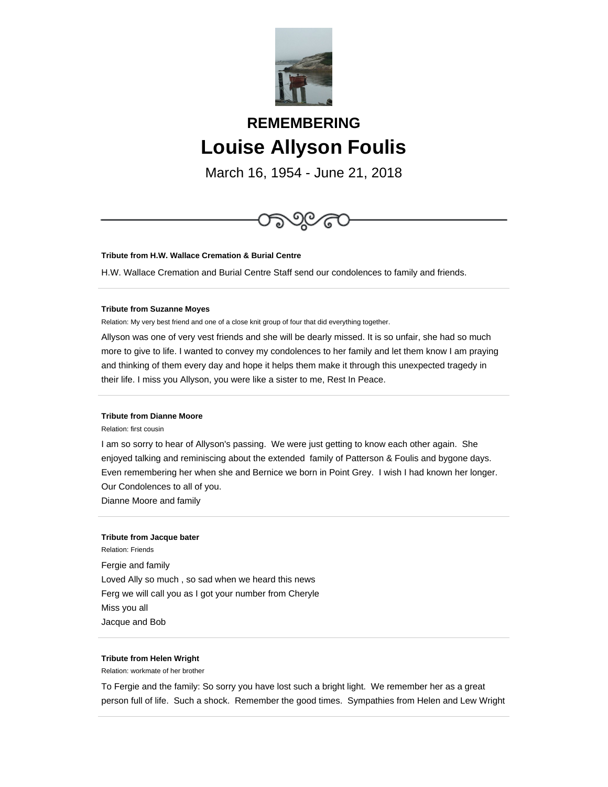

# **REMEMBERING Louise Allyson Foulis**

March 16, 1954 - June 21, 2018



**Tribute from H.W. Wallace Cremation & Burial Centre**

H.W. Wallace Cremation and Burial Centre Staff send our condolences to family and friends.

#### **Tribute from Suzanne Moyes**

Relation: My very best friend and one of a close knit group of four that did everything together.

Allyson was one of very vest friends and she will be dearly missed. It is so unfair, she had so much more to give to life. I wanted to convey my condolences to her family and let them know I am praying and thinking of them every day and hope it helps them make it through this unexpected tragedy in their life. I miss you Allyson, you were like a sister to me, Rest In Peace.

# **Tribute from Dianne Moore**

Relation: first cousin

I am so sorry to hear of Allyson's passing. We were just getting to know each other again. She enjoyed talking and reminiscing about the extended family of Patterson & Foulis and bygone days. Even remembering her when she and Bernice we born in Point Grey. I wish I had known her longer. Our Condolences to all of you.

Dianne Moore and family

#### **Tribute from Jacque bater**

Relation: Friends Fergie and family Loved Ally so much , so sad when we heard this news Ferg we will call you as I got your number from Cheryle Miss you all Jacque and Bob

## **Tribute from Helen Wright**

Relation: workmate of her brother

To Fergie and the family: So sorry you have lost such a bright light. We remember her as a great person full of life. Such a shock. Remember the good times. Sympathies from Helen and Lew Wright